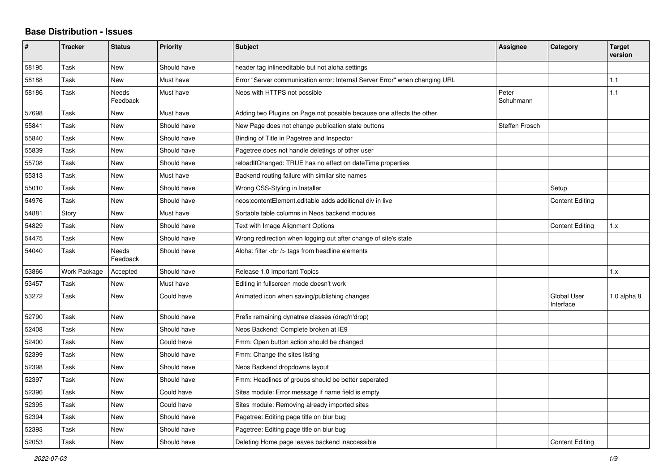## **Base Distribution - Issues**

| #     | <b>Tracker</b> | <b>Status</b>     | <b>Priority</b> | <b>Subject</b>                                                              | Assignee              | Category                        | <b>Target</b><br>version |
|-------|----------------|-------------------|-----------------|-----------------------------------------------------------------------------|-----------------------|---------------------------------|--------------------------|
| 58195 | Task           | <b>New</b>        | Should have     | header tag inlineeditable but not aloha settings                            |                       |                                 |                          |
| 58188 | Task           | <b>New</b>        | Must have       | Error "Server communication error: Internal Server Error" when changing URL |                       |                                 | 1.1                      |
| 58186 | Task           | Needs<br>Feedback | Must have       | Neos with HTTPS not possible                                                | Peter<br>Schuhmann    |                                 | 1.1                      |
| 57698 | Task           | New               | Must have       | Adding two Plugins on Page not possible because one affects the other.      |                       |                                 |                          |
| 55841 | Task           | <b>New</b>        | Should have     | New Page does not change publication state buttons                          | <b>Steffen Frosch</b> |                                 |                          |
| 55840 | Task           | <b>New</b>        | Should have     | Binding of Title in Pagetree and Inspector                                  |                       |                                 |                          |
| 55839 | Task           | <b>New</b>        | Should have     | Pagetree does not handle deletings of other user                            |                       |                                 |                          |
| 55708 | Task           | <b>New</b>        | Should have     | reloadIfChanged: TRUE has no effect on dateTime properties                  |                       |                                 |                          |
| 55313 | Task           | <b>New</b>        | Must have       | Backend routing failure with similar site names                             |                       |                                 |                          |
| 55010 | Task           | New               | Should have     | Wrong CSS-Styling in Installer                                              |                       | Setup                           |                          |
| 54976 | Task           | <b>New</b>        | Should have     | neos: content Element, editable adds additional div in live                 |                       | <b>Content Editing</b>          |                          |
| 54881 | Story          | <b>New</b>        | Must have       | Sortable table columns in Neos backend modules                              |                       |                                 |                          |
| 54829 | Task           | <b>New</b>        | Should have     | Text with Image Alignment Options                                           |                       | <b>Content Editing</b>          | 1.x                      |
| 54475 | Task           | New               | Should have     | Wrong redirection when logging out after change of site's state             |                       |                                 |                          |
| 54040 | Task           | Needs<br>Feedback | Should have     | Aloha: filter<br>tags from headline elements                                |                       |                                 |                          |
| 53866 | Work Package   | Accepted          | Should have     | Release 1.0 Important Topics                                                |                       |                                 | 1.x                      |
| 53457 | Task           | <b>New</b>        | Must have       | Editing in fullscreen mode doesn't work                                     |                       |                                 |                          |
| 53272 | Task           | New               | Could have      | Animated icon when saving/publishing changes                                |                       | <b>Global User</b><br>Interface | 1.0 alpha 8              |
| 52790 | Task           | <b>New</b>        | Should have     | Prefix remaining dynatree classes (drag'n'drop)                             |                       |                                 |                          |
| 52408 | Task           | <b>New</b>        | Should have     | Neos Backend: Complete broken at IE9                                        |                       |                                 |                          |
| 52400 | Task           | <b>New</b>        | Could have      | Fmm: Open button action should be changed                                   |                       |                                 |                          |
| 52399 | Task           | <b>New</b>        | Should have     | Fmm: Change the sites listing                                               |                       |                                 |                          |
| 52398 | Task           | <b>New</b>        | Should have     | Neos Backend dropdowns layout                                               |                       |                                 |                          |
| 52397 | Task           | <b>New</b>        | Should have     | Fmm: Headlines of groups should be better seperated                         |                       |                                 |                          |
| 52396 | Task           | <b>New</b>        | Could have      | Sites module: Error message if name field is empty                          |                       |                                 |                          |
| 52395 | Task           | <b>New</b>        | Could have      | Sites module: Removing already imported sites                               |                       |                                 |                          |
| 52394 | Task           | <b>New</b>        | Should have     | Pagetree: Editing page title on blur bug                                    |                       |                                 |                          |
| 52393 | Task           | <b>New</b>        | Should have     | Pagetree: Editing page title on blur bug                                    |                       |                                 |                          |
| 52053 | Task           | New               | Should have     | Deleting Home page leaves backend inaccessible                              |                       | <b>Content Editing</b>          |                          |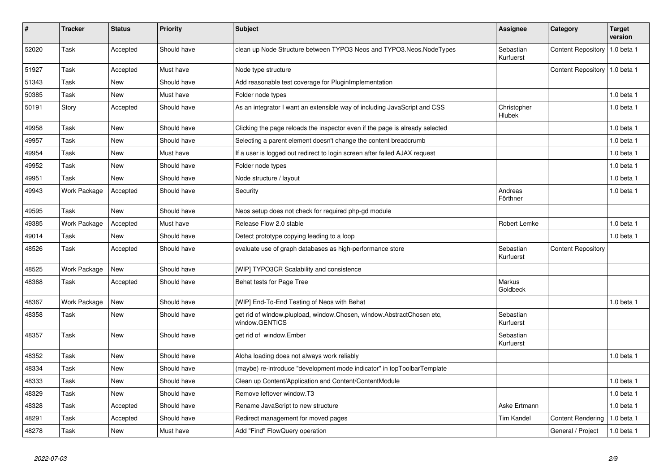| $\vert$ # | <b>Tracker</b> | <b>Status</b> | <b>Priority</b> | <b>Subject</b>                                                                          | Assignee                     | Category                        | <b>Target</b><br>version |
|-----------|----------------|---------------|-----------------|-----------------------------------------------------------------------------------------|------------------------------|---------------------------------|--------------------------|
| 52020     | Task           | Accepted      | Should have     | clean up Node Structure between TYPO3 Neos and TYPO3.Neos.NodeTypes                     | Sebastian<br>Kurfuerst       | <b>Content Repository</b>       | 1.0 beta 1               |
| 51927     | Task           | Accepted      | Must have       | Node type structure                                                                     |                              | Content Repository   1.0 beta 1 |                          |
| 51343     | Task           | <b>New</b>    | Should have     | Add reasonable test coverage for PluginImplementation                                   |                              |                                 |                          |
| 50385     | Task           | New           | Must have       | Folder node types                                                                       |                              |                                 | $1.0$ beta $1$           |
| 50191     | Story          | Accepted      | Should have     | As an integrator I want an extensible way of including JavaScript and CSS               | Christopher<br><b>Hlubek</b> |                                 | 1.0 beta 1               |
| 49958     | Task           | New           | Should have     | Clicking the page reloads the inspector even if the page is already selected            |                              |                                 | $1.0$ beta $1$           |
| 49957     | Task           | <b>New</b>    | Should have     | Selecting a parent element doesn't change the content breadcrumb                        |                              |                                 | 1.0 beta 1               |
| 49954     | Task           | <b>New</b>    | Must have       | If a user is logged out redirect to login screen after failed AJAX request              |                              |                                 | $1.0$ beta $1$           |
| 49952     | Task           | <b>New</b>    | Should have     | Folder node types                                                                       |                              |                                 | $1.0$ beta $1$           |
| 49951     | Task           | New           | Should have     | Node structure / layout                                                                 |                              |                                 | 1.0 beta 1               |
| 49943     | Work Package   | Accepted      | Should have     | Security                                                                                | Andreas<br>Förthner          |                                 | $1.0$ beta $1$           |
| 49595     | Task           | New           | Should have     | Neos setup does not check for required php-gd module                                    |                              |                                 |                          |
| 49385     | Work Package   | Accepted      | Must have       | Release Flow 2.0 stable                                                                 | Robert Lemke                 |                                 | $1.0$ beta $1$           |
| 49014     | Task           | <b>New</b>    | Should have     | Detect prototype copying leading to a loop                                              |                              |                                 | 1.0 beta 1               |
| 48526     | Task           | Accepted      | Should have     | evaluate use of graph databases as high-performance store                               | Sebastian<br>Kurfuerst       | <b>Content Repository</b>       |                          |
| 48525     | Work Package   | New           | Should have     | [WIP] TYPO3CR Scalability and consistence                                               |                              |                                 |                          |
| 48368     | Task           | Accepted      | Should have     | Behat tests for Page Tree                                                               | Markus<br>Goldbeck           |                                 |                          |
| 48367     | Work Package   | New           | Should have     | [WIP] End-To-End Testing of Neos with Behat                                             |                              |                                 | 1.0 beta 1               |
| 48358     | Task           | <b>New</b>    | Should have     | get rid of window.plupload, window.Chosen, window.AbstractChosen etc,<br>window.GENTICS | Sebastian<br>Kurfuerst       |                                 |                          |
| 48357     | Task           | <b>New</b>    | Should have     | get rid of window.Ember                                                                 | Sebastian<br>Kurfuerst       |                                 |                          |
| 48352     | Task           | <b>New</b>    | Should have     | Aloha loading does not always work reliably                                             |                              |                                 | $1.0$ beta $1$           |
| 48334     | Task           | <b>New</b>    | Should have     | (maybe) re-introduce "development mode indicator" in topToolbarTemplate                 |                              |                                 |                          |
| 48333     | Task           | <b>New</b>    | Should have     | Clean up Content/Application and Content/ContentModule                                  |                              |                                 | 1.0 beta 1               |
| 48329     | Task           | <b>New</b>    | Should have     | Remove leftover window.T3                                                               |                              |                                 | 1.0 beta 1               |
| 48328     | Task           | Accepted      | Should have     | Rename JavaScript to new structure                                                      | Aske Ertmann                 |                                 | 1.0 beta 1               |
| 48291     | Task           | Accepted      | Should have     | Redirect management for moved pages                                                     | <b>Tim Kandel</b>            | <b>Content Rendering</b>        | 1.0 beta 1               |
| 48278     | Task           | <b>New</b>    | Must have       | Add "Find" FlowQuery operation                                                          |                              | General / Project               | 1.0 beta 1               |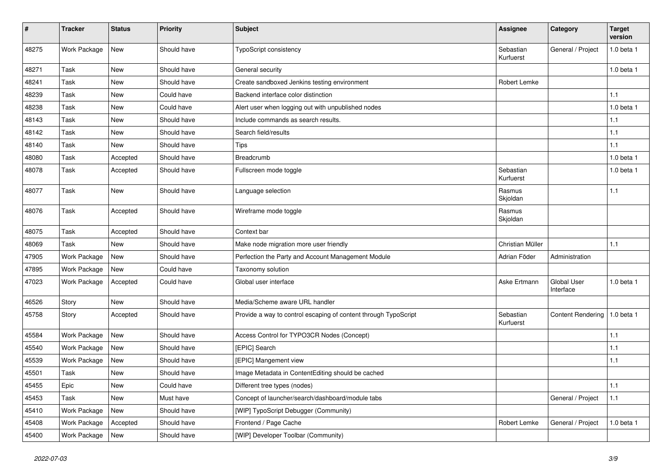| #     | <b>Tracker</b> | <b>Status</b> | <b>Priority</b> | <b>Subject</b>                                                  | <b>Assignee</b>        | Category                 | <b>Target</b><br>version |
|-------|----------------|---------------|-----------------|-----------------------------------------------------------------|------------------------|--------------------------|--------------------------|
| 48275 | Work Package   | New           | Should have     | TypoScript consistency                                          | Sebastian<br>Kurfuerst | General / Project        | 1.0 beta 1               |
| 48271 | Task           | New           | Should have     | General security                                                |                        |                          | 1.0 beta 1               |
| 48241 | Task           | New           | Should have     | Create sandboxed Jenkins testing environment                    | Robert Lemke           |                          |                          |
| 48239 | Task           | New           | Could have      | Backend interface color distinction                             |                        |                          | 1.1                      |
| 48238 | Task           | <b>New</b>    | Could have      | Alert user when logging out with unpublished nodes              |                        |                          | 1.0 beta 1               |
| 48143 | Task           | New           | Should have     | Include commands as search results.                             |                        |                          | $1.1$                    |
| 48142 | Task           | New           | Should have     | Search field/results                                            |                        |                          | 1.1                      |
| 48140 | Task           | New           | Should have     | Tips                                                            |                        |                          | $1.1$                    |
| 48080 | Task           | Accepted      | Should have     | Breadcrumb                                                      |                        |                          | 1.0 beta 1               |
| 48078 | Task           | Accepted      | Should have     | Fullscreen mode toggle                                          | Sebastian<br>Kurfuerst |                          | 1.0 beta 1               |
| 48077 | Task           | New           | Should have     | Language selection                                              | Rasmus<br>Skjoldan     |                          | 1.1                      |
| 48076 | Task           | Accepted      | Should have     | Wireframe mode toggle                                           | Rasmus<br>Skjoldan     |                          |                          |
| 48075 | Task           | Accepted      | Should have     | Context bar                                                     |                        |                          |                          |
| 48069 | Task           | New           | Should have     | Make node migration more user friendly                          | Christian Müller       |                          | 1.1                      |
| 47905 | Work Package   | New           | Should have     | Perfection the Party and Account Management Module              | Adrian Föder           | Administration           |                          |
| 47895 | Work Package   | New           | Could have      | Taxonomy solution                                               |                        |                          |                          |
| 47023 | Work Package   | Accepted      | Could have      | Global user interface                                           | Aske Ertmann           | Global User<br>Interface | 1.0 beta 1               |
| 46526 | Story          | New           | Should have     | Media/Scheme aware URL handler                                  |                        |                          |                          |
| 45758 | Story          | Accepted      | Should have     | Provide a way to control escaping of content through TypoScript | Sebastian<br>Kurfuerst | <b>Content Rendering</b> | 1.0 beta 1               |
| 45584 | Work Package   | New           | Should have     | Access Control for TYPO3CR Nodes (Concept)                      |                        |                          | 1.1                      |
| 45540 | Work Package   | New           | Should have     | [EPIC] Search                                                   |                        |                          | 1.1                      |
| 45539 | Work Package   | <b>New</b>    | Should have     | [EPIC] Mangement view                                           |                        |                          | 1.1                      |
| 45501 | Task           | New           | Should have     | Image Metadata in ContentEditing should be cached               |                        |                          |                          |
| 45455 | Epic           | New           | Could have      | Different tree types (nodes)                                    |                        |                          | 1.1                      |
| 45453 | Task           | New           | Must have       | Concept of launcher/search/dashboard/module tabs                |                        | General / Project        | $1.1$                    |
| 45410 | Work Package   | New           | Should have     | [WIP] TypoScript Debugger (Community)                           |                        |                          |                          |
| 45408 | Work Package   | Accepted      | Should have     | Frontend / Page Cache                                           | Robert Lemke           | General / Project        | 1.0 beta 1               |
| 45400 | Work Package   | New           | Should have     | [WIP] Developer Toolbar (Community)                             |                        |                          |                          |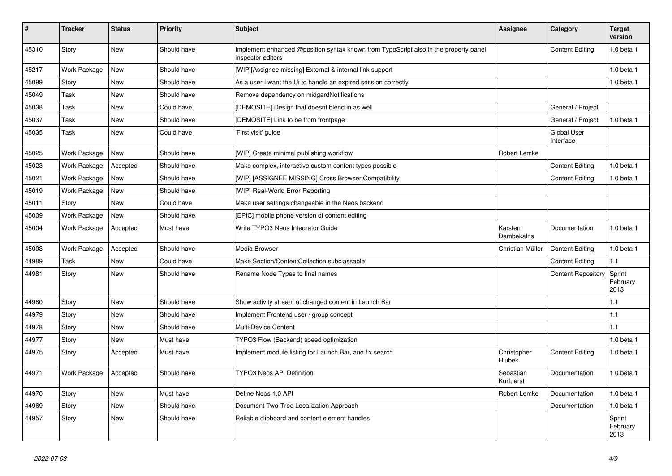| ∦     | <b>Tracker</b> | <b>Status</b> | <b>Priority</b> | <b>Subject</b>                                                                                            | <b>Assignee</b>        | Category                        | <b>Target</b><br>version   |
|-------|----------------|---------------|-----------------|-----------------------------------------------------------------------------------------------------------|------------------------|---------------------------------|----------------------------|
| 45310 | Story          | <b>New</b>    | Should have     | Implement enhanced @position syntax known from TypoScript also in the property panel<br>inspector editors |                        | <b>Content Editing</b>          | 1.0 beta 1                 |
| 45217 | Work Package   | <b>New</b>    | Should have     | [WIP][Assignee missing] External & internal link support                                                  |                        |                                 | 1.0 beta 1                 |
| 45099 | Story          | <b>New</b>    | Should have     | As a user I want the Ui to handle an expired session correctly                                            |                        |                                 | 1.0 beta 1                 |
| 45049 | Task           | New           | Should have     | Remove dependency on midgardNotifications                                                                 |                        |                                 |                            |
| 45038 | Task           | <b>New</b>    | Could have      | [DEMOSITE] Design that doesnt blend in as well                                                            |                        | General / Project               |                            |
| 45037 | Task           | New           | Should have     | [DEMOSITE] Link to be from frontpage                                                                      |                        | General / Project               | 1.0 beta 1                 |
| 45035 | Task           | New           | Could have      | 'First visit' guide                                                                                       |                        | <b>Global User</b><br>Interface |                            |
| 45025 | Work Package   | <b>New</b>    | Should have     | [WIP] Create minimal publishing workflow                                                                  | Robert Lemke           |                                 |                            |
| 45023 | Work Package   | Accepted      | Should have     | Make complex, interactive custom content types possible                                                   |                        | <b>Content Editing</b>          | 1.0 beta 1                 |
| 45021 | Work Package   | <b>New</b>    | Should have     | [WIP] [ASSIGNEE MISSING] Cross Browser Compatibility                                                      |                        | <b>Content Editing</b>          | 1.0 beta 1                 |
| 45019 | Work Package   | <b>New</b>    | Should have     | [WIP] Real-World Error Reporting                                                                          |                        |                                 |                            |
| 45011 | Story          | <b>New</b>    | Could have      | Make user settings changeable in the Neos backend                                                         |                        |                                 |                            |
| 45009 | Work Package   | New           | Should have     | [EPIC] mobile phone version of content editing                                                            |                        |                                 |                            |
| 45004 | Work Package   | Accepted      | Must have       | Write TYPO3 Neos Integrator Guide                                                                         | Karsten<br>Dambekalns  | Documentation                   | 1.0 beta 1                 |
| 45003 | Work Package   | Accepted      | Should have     | Media Browser                                                                                             | Christian Müller       | <b>Content Editing</b>          | 1.0 beta 1                 |
| 44989 | Task           | <b>New</b>    | Could have      | Make Section/ContentCollection subclassable                                                               |                        | <b>Content Editing</b>          | 1.1                        |
| 44981 | Story          | <b>New</b>    | Should have     | Rename Node Types to final names                                                                          |                        | <b>Content Repository</b>       | Sprint<br>February<br>2013 |
| 44980 | Story          | <b>New</b>    | Should have     | Show activity stream of changed content in Launch Bar                                                     |                        |                                 | 1.1                        |
| 44979 | Story          | New           | Should have     | Implement Frontend user / group concept                                                                   |                        |                                 | 1.1                        |
| 44978 | Story          | <b>New</b>    | Should have     | Multi-Device Content                                                                                      |                        |                                 | 1.1                        |
| 44977 | Story          | New           | Must have       | TYPO3 Flow (Backend) speed optimization                                                                   |                        |                                 | 1.0 beta 1                 |
| 44975 | Story          | Accepted      | Must have       | Implement module listing for Launch Bar, and fix search                                                   | Christopher<br>Hlubek  | <b>Content Editing</b>          | 1.0 beta 1                 |
| 44971 | Work Package   | Accepted      | Should have     | <b>TYPO3 Neos API Definition</b>                                                                          | Sebastian<br>Kurfuerst | Documentation                   | 1.0 beta 1                 |
| 44970 | Story          | New           | Must have       | Define Neos 1.0 API                                                                                       | Robert Lemke           | Documentation                   | $1.0$ beta $1$             |
| 44969 | Story          | New           | Should have     | Document Two-Tree Localization Approach                                                                   |                        | Documentation                   | 1.0 beta 1                 |
| 44957 | Story          | New           | Should have     | Reliable clipboard and content element handles                                                            |                        |                                 | Sprint<br>February<br>2013 |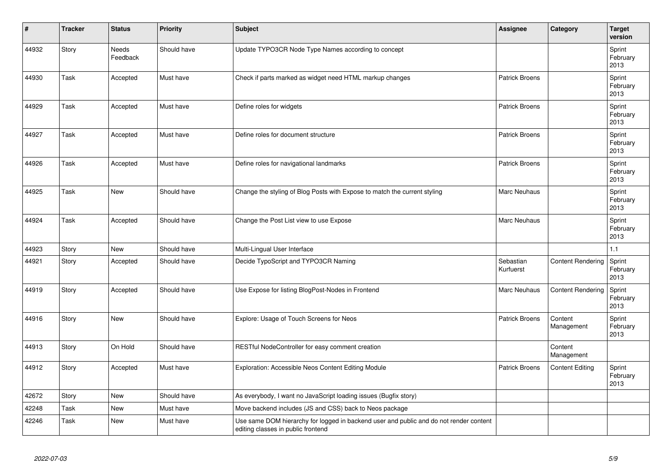| #     | <b>Tracker</b> | <b>Status</b>     | <b>Priority</b> | Subject                                                                                                                      | Assignee               | Category                 | <b>Target</b><br>version   |
|-------|----------------|-------------------|-----------------|------------------------------------------------------------------------------------------------------------------------------|------------------------|--------------------------|----------------------------|
| 44932 | Story          | Needs<br>Feedback | Should have     | Update TYPO3CR Node Type Names according to concept                                                                          |                        |                          | Sprint<br>February<br>2013 |
| 44930 | Task           | Accepted          | Must have       | Check if parts marked as widget need HTML markup changes                                                                     | <b>Patrick Broens</b>  |                          | Sprint<br>February<br>2013 |
| 44929 | Task           | Accepted          | Must have       | Define roles for widgets                                                                                                     | <b>Patrick Broens</b>  |                          | Sprint<br>February<br>2013 |
| 44927 | Task           | Accepted          | Must have       | Define roles for document structure                                                                                          | <b>Patrick Broens</b>  |                          | Sprint<br>February<br>2013 |
| 44926 | Task           | Accepted          | Must have       | Define roles for navigational landmarks                                                                                      | <b>Patrick Broens</b>  |                          | Sprint<br>February<br>2013 |
| 44925 | Task           | <b>New</b>        | Should have     | Change the styling of Blog Posts with Expose to match the current styling                                                    | <b>Marc Neuhaus</b>    |                          | Sprint<br>February<br>2013 |
| 44924 | Task           | Accepted          | Should have     | Change the Post List view to use Expose                                                                                      | <b>Marc Neuhaus</b>    |                          | Sprint<br>February<br>2013 |
| 44923 | Story          | New               | Should have     | Multi-Lingual User Interface                                                                                                 |                        |                          | 1.1                        |
| 44921 | Story          | Accepted          | Should have     | Decide TypoScript and TYPO3CR Naming                                                                                         | Sebastian<br>Kurfuerst | <b>Content Rendering</b> | Sprint<br>February<br>2013 |
| 44919 | Story          | Accepted          | Should have     | Use Expose for listing BlogPost-Nodes in Frontend                                                                            | Marc Neuhaus           | <b>Content Rendering</b> | Sprint<br>February<br>2013 |
| 44916 | Story          | <b>New</b>        | Should have     | Explore: Usage of Touch Screens for Neos                                                                                     | Patrick Broens         | Content<br>Management    | Sprint<br>February<br>2013 |
| 44913 | Story          | On Hold           | Should have     | RESTful NodeController for easy comment creation                                                                             |                        | Content<br>Management    |                            |
| 44912 | Story          | Accepted          | Must have       | Exploration: Accessible Neos Content Editing Module                                                                          | <b>Patrick Broens</b>  | <b>Content Editing</b>   | Sprint<br>February<br>2013 |
| 42672 | Story          | <b>New</b>        | Should have     | As everybody, I want no JavaScript loading issues (Bugfix story)                                                             |                        |                          |                            |
| 42248 | Task           | <b>New</b>        | Must have       | Move backend includes (JS and CSS) back to Neos package                                                                      |                        |                          |                            |
| 42246 | Task           | New               | Must have       | Use same DOM hierarchy for logged in backend user and public and do not render content<br>editing classes in public frontend |                        |                          |                            |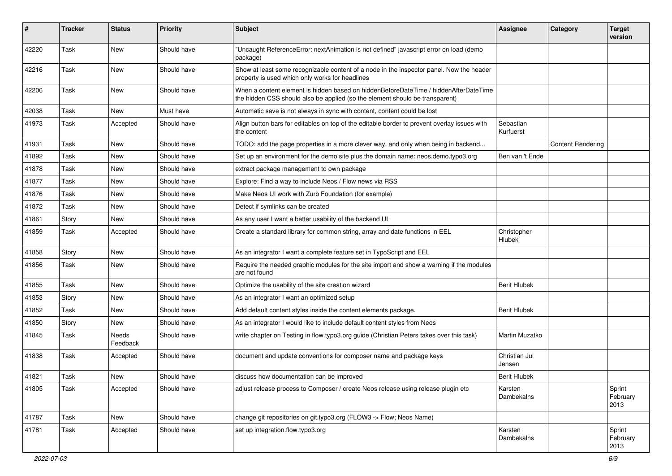| #     | <b>Tracker</b> | <b>Status</b>            | <b>Priority</b> | Subject                                                                                                                                                              | <b>Assignee</b>              | Category                 | <b>Target</b><br>version   |
|-------|----------------|--------------------------|-----------------|----------------------------------------------------------------------------------------------------------------------------------------------------------------------|------------------------------|--------------------------|----------------------------|
| 42220 | Task           | <b>New</b>               | Should have     | "Uncaught ReferenceError: nextAnimation is not defined" javascript error on load (demo<br>package)                                                                   |                              |                          |                            |
| 42216 | Task           | <b>New</b>               | Should have     | Show at least some recognizable content of a node in the inspector panel. Now the header<br>property is used which only works for headlines                          |                              |                          |                            |
| 42206 | Task           | New                      | Should have     | When a content element is hidden based on hiddenBeforeDateTime / hiddenAfterDateTime<br>the hidden CSS should also be applied (so the element should be transparent) |                              |                          |                            |
| 42038 | Task           | New                      | Must have       | Automatic save is not always in sync with content, content could be lost                                                                                             |                              |                          |                            |
| 41973 | Task           | Accepted                 | Should have     | Align button bars for editables on top of the editable border to prevent overlay issues with<br>the content                                                          | Sebastian<br>Kurfuerst       |                          |                            |
| 41931 | Task           | New                      | Should have     | TODO: add the page properties in a more clever way, and only when being in backend                                                                                   |                              | <b>Content Rendering</b> |                            |
| 41892 | Task           | <b>New</b>               | Should have     | Set up an environment for the demo site plus the domain name: neos.demo.typo3.org                                                                                    | Ben van 't Ende              |                          |                            |
| 41878 | Task           | <b>New</b>               | Should have     | extract package management to own package                                                                                                                            |                              |                          |                            |
| 41877 | Task           | New                      | Should have     | Explore: Find a way to include Neos / Flow news via RSS                                                                                                              |                              |                          |                            |
| 41876 | Task           | <b>New</b>               | Should have     | Make Neos UI work with Zurb Foundation (for example)                                                                                                                 |                              |                          |                            |
| 41872 | Task           | New                      | Should have     | Detect if symlinks can be created                                                                                                                                    |                              |                          |                            |
| 41861 | Story          | <b>New</b>               | Should have     | As any user I want a better usability of the backend UI                                                                                                              |                              |                          |                            |
| 41859 | Task           | Accepted                 | Should have     | Create a standard library for common string, array and date functions in EEL                                                                                         | Christopher<br><b>Hlubek</b> |                          |                            |
| 41858 | Story          | <b>New</b>               | Should have     | As an integrator I want a complete feature set in TypoScript and EEL                                                                                                 |                              |                          |                            |
| 41856 | Task           | <b>New</b>               | Should have     | Require the needed graphic modules for the site import and show a warning if the modules<br>are not found                                                            |                              |                          |                            |
| 41855 | Task           | <b>New</b>               | Should have     | Optimize the usability of the site creation wizard                                                                                                                   | <b>Berit Hlubek</b>          |                          |                            |
| 41853 | Story          | New                      | Should have     | As an integrator I want an optimized setup                                                                                                                           |                              |                          |                            |
| 41852 | Task           | <b>New</b>               | Should have     | Add default content styles inside the content elements package.                                                                                                      | <b>Berit Hlubek</b>          |                          |                            |
| 41850 | Story          | <b>New</b>               | Should have     | As an integrator I would like to include default content styles from Neos                                                                                            |                              |                          |                            |
| 41845 | Task           | <b>Needs</b><br>Feedback | Should have     | write chapter on Testing in flow.typo3.org guide (Christian Peters takes over this task)                                                                             | Martin Muzatko               |                          |                            |
| 41838 | Task           | Accepted                 | Should have     | document and update conventions for composer name and package keys                                                                                                   | Christian Jul<br>Jensen      |                          |                            |
| 41821 | Task           | <b>New</b>               | Should have     | discuss how documentation can be improved                                                                                                                            | <b>Berit Hlubek</b>          |                          |                            |
| 41805 | Task           | Accepted                 | Should have     | adjust release process to Composer / create Neos release using release plugin etc                                                                                    | Karsten<br>Dambekalns        |                          | Sprint<br>February<br>2013 |
| 41787 | Task           | New                      | Should have     | change git repositories on git.typo3.org (FLOW3 -> Flow; Neos Name)                                                                                                  |                              |                          |                            |
| 41781 | Task           | Accepted                 | Should have     | set up integration.flow.typo3.org                                                                                                                                    | Karsten<br>Dambekalns        |                          | Sprint<br>February<br>2013 |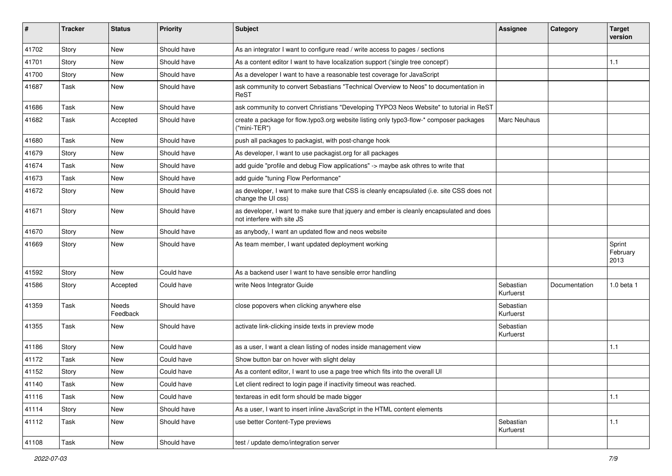| $\sharp$ | <b>Tracker</b> | <b>Status</b>            | <b>Priority</b> | Subject                                                                                                                | <b>Assignee</b>        | Category      | <b>Target</b><br>version   |
|----------|----------------|--------------------------|-----------------|------------------------------------------------------------------------------------------------------------------------|------------------------|---------------|----------------------------|
| 41702    | Story          | <b>New</b>               | Should have     | As an integrator I want to configure read / write access to pages / sections                                           |                        |               |                            |
| 41701    | Story          | New                      | Should have     | As a content editor I want to have localization support ('single tree concept')                                        |                        |               | 1.1                        |
| 41700    | Story          | <b>New</b>               | Should have     | As a developer I want to have a reasonable test coverage for JavaScript                                                |                        |               |                            |
| 41687    | Task           | New                      | Should have     | ask community to convert Sebastians "Technical Overview to Neos" to documentation in<br>ReST                           |                        |               |                            |
| 41686    | Task           | New                      | Should have     | ask community to convert Christians "Developing TYPO3 Neos Website" to tutorial in ReST                                |                        |               |                            |
| 41682    | Task           | Accepted                 | Should have     | create a package for flow typo3.org website listing only typo3-flow-* composer packages<br>("mini-TER")                | Marc Neuhaus           |               |                            |
| 41680    | Task           | New                      | Should have     | push all packages to packagist, with post-change hook                                                                  |                        |               |                            |
| 41679    | Story          | New                      | Should have     | As developer, I want to use packagist org for all packages                                                             |                        |               |                            |
| 41674    | Task           | <b>New</b>               | Should have     | add guide "profile and debug Flow applications" -> maybe ask othres to write that                                      |                        |               |                            |
| 41673    | Task           | New                      | Should have     | add guide "tuning Flow Performance"                                                                                    |                        |               |                            |
| 41672    | Story          | New                      | Should have     | as developer, I want to make sure that CSS is cleanly encapsulated (i.e. site CSS does not<br>change the UI css)       |                        |               |                            |
| 41671    | Story          | New                      | Should have     | as developer, I want to make sure that jquery and ember is cleanly encapsulated and does<br>not interfere with site JS |                        |               |                            |
| 41670    | Story          | New                      | Should have     | as anybody, I want an updated flow and neos website                                                                    |                        |               |                            |
| 41669    | Story          | New                      | Should have     | As team member, I want updated deployment working                                                                      |                        |               | Sprint<br>February<br>2013 |
| 41592    | Story          | New                      | Could have      | As a backend user I want to have sensible error handling                                                               |                        |               |                            |
| 41586    | Story          | Accepted                 | Could have      | write Neos Integrator Guide                                                                                            | Sebastian<br>Kurfuerst | Documentation | 1.0 beta 1                 |
| 41359    | Task           | <b>Needs</b><br>Feedback | Should have     | close popovers when clicking anywhere else                                                                             | Sebastian<br>Kurfuerst |               |                            |
| 41355    | Task           | New                      | Should have     | activate link-clicking inside texts in preview mode                                                                    | Sebastian<br>Kurfuerst |               |                            |
| 41186    | Story          | <b>New</b>               | Could have      | as a user, I want a clean listing of nodes inside management view                                                      |                        |               | 1.1                        |
| 41172    | Task           | New                      | Could have      | Show button bar on hover with slight delay                                                                             |                        |               |                            |
| 41152    | Story          | New                      | Could have      | As a content editor, I want to use a page tree which fits into the overall UI                                          |                        |               |                            |
| 41140    | Task           | New                      | Could have      | Let client redirect to login page if inactivity timeout was reached.                                                   |                        |               |                            |
| 41116    | Task           | New                      | Could have      | textareas in edit form should be made bigger                                                                           |                        |               | $1.1$                      |
| 41114    | Story          | New                      | Should have     | As a user, I want to insert inline JavaScript in the HTML content elements                                             |                        |               |                            |
| 41112    | Task           | New                      | Should have     | use better Content-Type previews                                                                                       | Sebastian<br>Kurfuerst |               | $1.1$                      |
| 41108    | Task           | New                      | Should have     | test / update demo/integration server                                                                                  |                        |               |                            |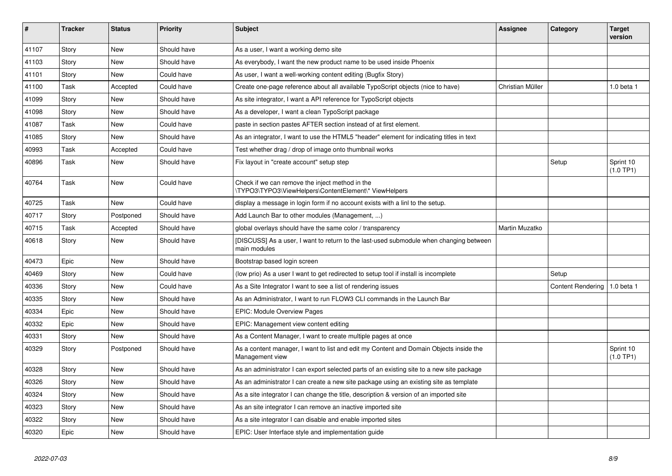| #     | <b>Tracker</b> | <b>Status</b> | <b>Priority</b> | <b>Subject</b>                                                                                            | Assignee         | Category                 | <b>Target</b><br>version |
|-------|----------------|---------------|-----------------|-----------------------------------------------------------------------------------------------------------|------------------|--------------------------|--------------------------|
| 41107 | Story          | <b>New</b>    | Should have     | As a user, I want a working demo site                                                                     |                  |                          |                          |
| 41103 | Story          | New           | Should have     | As everybody, I want the new product name to be used inside Phoenix                                       |                  |                          |                          |
| 41101 | Story          | <b>New</b>    | Could have      | As user, I want a well-working content editing (Bugfix Story)                                             |                  |                          |                          |
| 41100 | Task           | Accepted      | Could have      | Create one-page reference about all available TypoScript objects (nice to have)                           | Christian Müller |                          | 1.0 beta 1               |
| 41099 | Story          | New           | Should have     | As site integrator, I want a API reference for TypoScript objects                                         |                  |                          |                          |
| 41098 | Story          | New           | Should have     | As a developer, I want a clean TypoScript package                                                         |                  |                          |                          |
| 41087 | Task           | <b>New</b>    | Could have      | paste in section pastes AFTER section instead of at first element.                                        |                  |                          |                          |
| 41085 | Story          | <b>New</b>    | Should have     | As an integrator, I want to use the HTML5 "header" element for indicating titles in text                  |                  |                          |                          |
| 40993 | Task           | Accepted      | Could have      | Test whether drag / drop of image onto thumbnail works                                                    |                  |                          |                          |
| 40896 | Task           | New           | Should have     | Fix layout in "create account" setup step                                                                 |                  | Setup                    | Sprint 10<br>(1.0 TP1)   |
| 40764 | Task           | <b>New</b>    | Could have      | Check if we can remove the inject method in the<br>\TYPO3\TYPO3\ViewHelpers\ContentElement\* ViewHelpers  |                  |                          |                          |
| 40725 | Task           | <b>New</b>    | Could have      | display a message in login form if no account exists with a linl to the setup.                            |                  |                          |                          |
| 40717 | Story          | Postponed     | Should have     | Add Launch Bar to other modules (Management, )                                                            |                  |                          |                          |
| 40715 | Task           | Accepted      | Should have     | global overlays should have the same color / transparency                                                 | Martin Muzatko   |                          |                          |
| 40618 | Story          | New           | Should have     | [DISCUSS] As a user, I want to return to the last-used submodule when changing between<br>main modules    |                  |                          |                          |
| 40473 | Epic           | <b>New</b>    | Should have     | Bootstrap based login screen                                                                              |                  |                          |                          |
| 40469 | Story          | <b>New</b>    | Could have      | (low prio) As a user I want to get redirected to setup tool if install is incomplete                      |                  | Setup                    |                          |
| 40336 | Story          | <b>New</b>    | Could have      | As a Site Integrator I want to see a list of rendering issues                                             |                  | <b>Content Rendering</b> | 1.0 beta 1               |
| 40335 | Story          | <b>New</b>    | Should have     | As an Administrator, I want to run FLOW3 CLI commands in the Launch Bar                                   |                  |                          |                          |
| 40334 | Epic           | <b>New</b>    | Should have     | <b>EPIC: Module Overview Pages</b>                                                                        |                  |                          |                          |
| 40332 | Epic           | <b>New</b>    | Should have     | EPIC: Management view content editing                                                                     |                  |                          |                          |
| 40331 | Story          | <b>New</b>    | Should have     | As a Content Manager, I want to create multiple pages at once                                             |                  |                          |                          |
| 40329 | Story          | Postponed     | Should have     | As a content manager, I want to list and edit my Content and Domain Objects inside the<br>Management view |                  |                          | Sprint 10<br>(1.0 TP1)   |
| 40328 | Story          | <b>New</b>    | Should have     | As an administrator I can export selected parts of an existing site to a new site package                 |                  |                          |                          |
| 40326 | Story          | New           | Should have     | As an administrator I can create a new site package using an existing site as template                    |                  |                          |                          |
| 40324 | Story          | <b>New</b>    | Should have     | As a site integrator I can change the title, description & version of an imported site                    |                  |                          |                          |
| 40323 | Story          | <b>New</b>    | Should have     | As an site integrator I can remove an inactive imported site                                              |                  |                          |                          |
| 40322 | Story          | <b>New</b>    | Should have     | As a site integrator I can disable and enable imported sites                                              |                  |                          |                          |
| 40320 | Epic           | New           | Should have     | EPIC: User Interface style and implementation guide                                                       |                  |                          |                          |